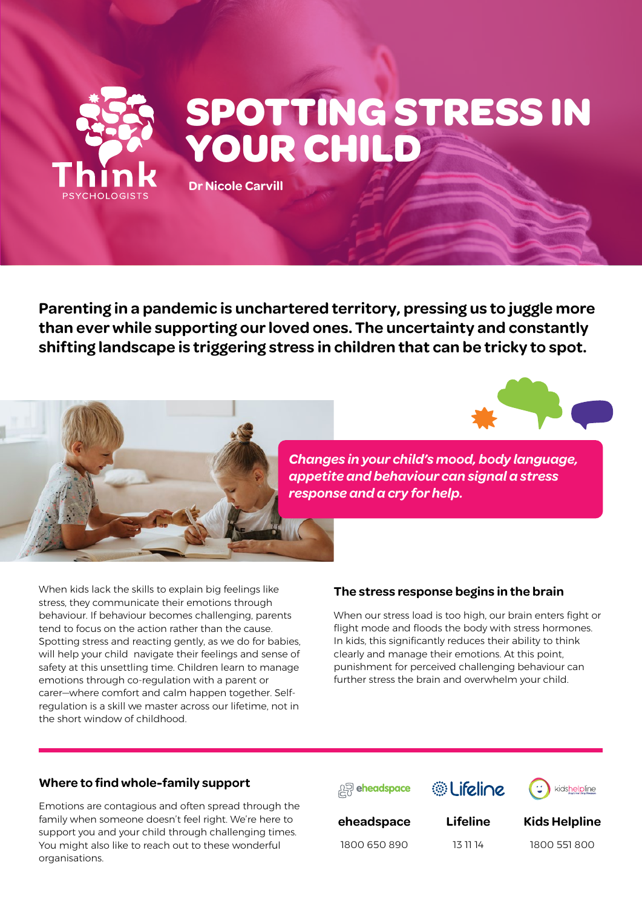

**Parenting in a pandemic is unchartered territory, pressing us to juggle more than ever while supporting our loved ones. The uncertainty and constantly shifting landscape is triggering stress in children that can be tricky to spot.**





*Changes in your child's mood, body language, appetite and behaviour can signal a stress response and a cry for help.* 

When kids lack the skills to explain big feelings like stress, they communicate their emotions through behaviour. If behaviour becomes challenging, parents tend to focus on the action rather than the cause. Spotting stress and reacting gently, as we do for babies, will help your child navigate their feelings and sense of safety at this unsettling time. Children learn to manage emotions through co-regulation with a parent or carer—where comfort and calm happen together. Selfregulation is a skill we master across our lifetime, not in the short window of childhood.

#### **The stress response begins in the brain**

When our stress load is too high, our brain enters fight or flight mode and floods the body with stress hormones. In kids, this significantly reduces their ability to think clearly and manage their emotions. At this point, punishment for perceived challenging behaviour can further stress the brain and overwhelm your child.

#### **Where to find whole-family support**

Emotions are contagious and often spread through the family when someone doesn't feel right. We're here to support you and your child through challenging times. You might also like to reach out to these wonderful organisations.





**Lifeline**

kidshelpline

**eheadspace**

1800 650 890

13 11 14

1800 551 800

**Kids Helpline**